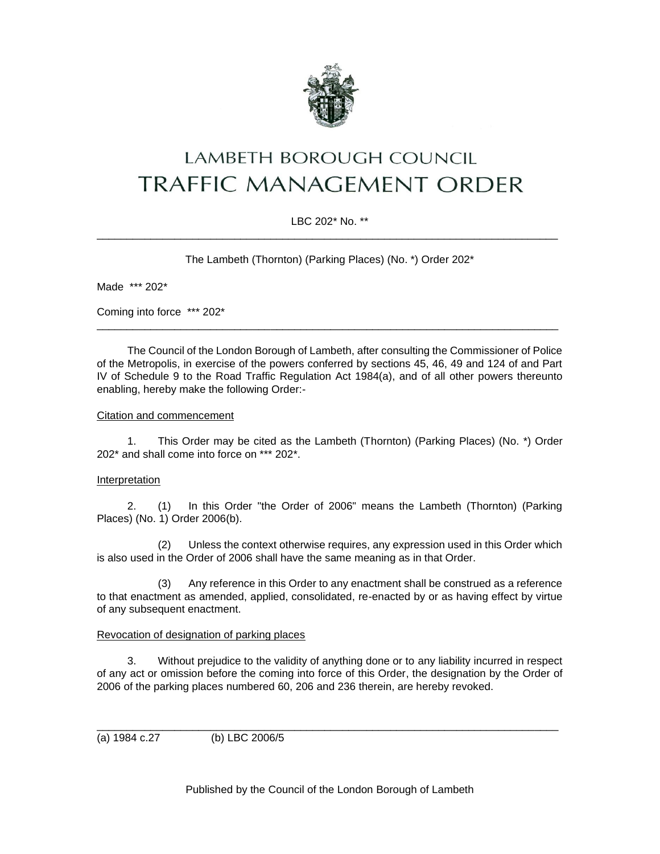

# LAMBETH BOROUGH COUNCIL **TRAFFIC MANAGEMENT ORDER**

# LBC 202\* No. \*\* \_\_\_\_\_\_\_\_\_\_\_\_\_\_\_\_\_\_\_\_\_\_\_\_\_\_\_\_\_\_\_\_\_\_\_\_\_\_\_\_\_\_\_\_\_\_\_\_\_\_\_\_\_\_\_\_\_\_\_\_\_\_\_\_\_\_\_\_\_\_\_\_\_\_\_\_\_

The Lambeth (Thornton) (Parking Places) (No. \*) Order 202\*

Made \*\*\* 202\*

Coming into force \*\*\* 202\*

The Council of the London Borough of Lambeth, after consulting the Commissioner of Police of the Metropolis, in exercise of the powers conferred by sections 45, 46, 49 and 124 of and Part IV of Schedule 9 to the Road Traffic Regulation Act 1984(a), and of all other powers thereunto enabling, hereby make the following Order:-

\_\_\_\_\_\_\_\_\_\_\_\_\_\_\_\_\_\_\_\_\_\_\_\_\_\_\_\_\_\_\_\_\_\_\_\_\_\_\_\_\_\_\_\_\_\_\_\_\_\_\_\_\_\_\_\_\_\_\_\_\_\_\_\_\_\_\_\_\_\_\_\_\_\_\_\_\_

#### Citation and commencement

1. This Order may be cited as the Lambeth (Thornton) (Parking Places) (No. \*) Order 202\* and shall come into force on \*\*\* 202\*.

#### **Interpretation**

2. (1) In this Order "the Order of 2006" means the Lambeth (Thornton) (Parking Places) (No. 1) Order 2006(b).

(2) Unless the context otherwise requires, any expression used in this Order which is also used in the Order of 2006 shall have the same meaning as in that Order.

(3) Any reference in this Order to any enactment shall be construed as a reference to that enactment as amended, applied, consolidated, re-enacted by or as having effect by virtue of any subsequent enactment.

#### Revocation of designation of parking places

3. Without prejudice to the validity of anything done or to any liability incurred in respect of any act or omission before the coming into force of this Order, the designation by the Order of 2006 of the parking places numbered 60, 206 and 236 therein, are hereby revoked.

\_\_\_\_\_\_\_\_\_\_\_\_\_\_\_\_\_\_\_\_\_\_\_\_\_\_\_\_\_\_\_\_\_\_\_\_\_\_\_\_\_\_\_\_\_\_\_\_\_\_\_\_\_\_\_\_\_\_\_\_\_\_\_\_\_\_\_\_\_\_\_\_\_\_\_\_\_

(a) 1984 c.27 (b) LBC 2006/5

Published by the Council of the London Borough of Lambeth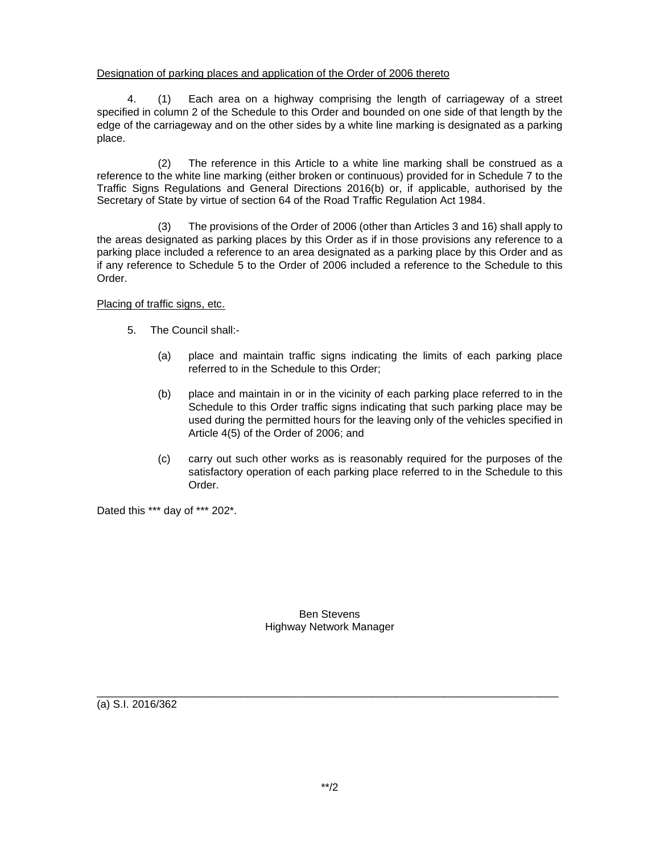## Designation of parking places and application of the Order of 2006 thereto

4. (1) Each area on a highway comprising the length of carriageway of a street specified in column 2 of the Schedule to this Order and bounded on one side of that length by the edge of the carriageway and on the other sides by a white line marking is designated as a parking place.

(2) The reference in this Article to a white line marking shall be construed as a reference to the white line marking (either broken or continuous) provided for in Schedule 7 to the Traffic Signs Regulations and General Directions 2016(b) or, if applicable, authorised by the Secretary of State by virtue of section 64 of the Road Traffic Regulation Act 1984.

(3) The provisions of the Order of 2006 (other than Articles 3 and 16) shall apply to the areas designated as parking places by this Order as if in those provisions any reference to a parking place included a reference to an area designated as a parking place by this Order and as if any reference to Schedule 5 to the Order of 2006 included a reference to the Schedule to this Order.

Placing of traffic signs, etc.

- 5. The Council shall:-
	- (a) place and maintain traffic signs indicating the limits of each parking place referred to in the Schedule to this Order;
	- (b) place and maintain in or in the vicinity of each parking place referred to in the Schedule to this Order traffic signs indicating that such parking place may be used during the permitted hours for the leaving only of the vehicles specified in Article 4(5) of the Order of 2006; and
	- (c) carry out such other works as is reasonably required for the purposes of the satisfactory operation of each parking place referred to in the Schedule to this Order.

Dated this \*\*\* day of \*\*\* 202\*.

Ben Stevens Highway Network Manager

\_\_\_\_\_\_\_\_\_\_\_\_\_\_\_\_\_\_\_\_\_\_\_\_\_\_\_\_\_\_\_\_\_\_\_\_\_\_\_\_\_\_\_\_\_\_\_\_\_\_\_\_\_\_\_\_\_\_\_\_\_\_\_\_\_\_\_\_\_\_\_\_\_\_\_\_\_

(a) S.I. 2016/362